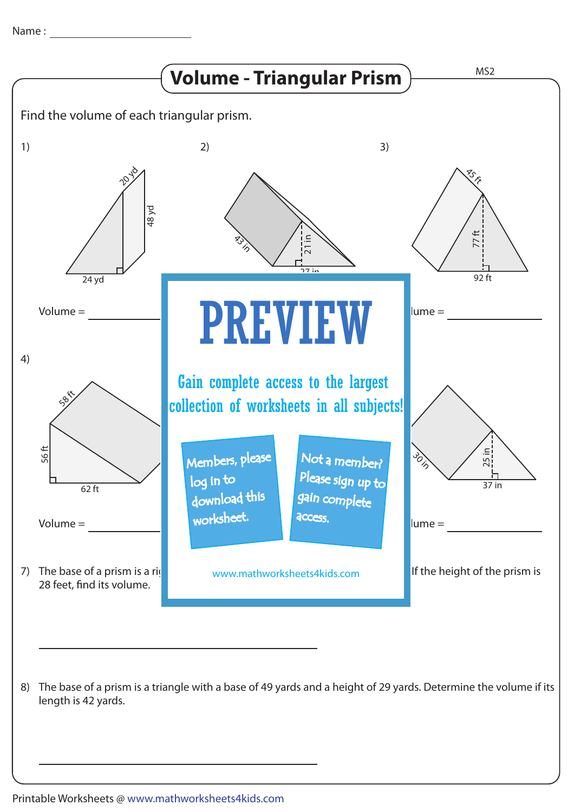